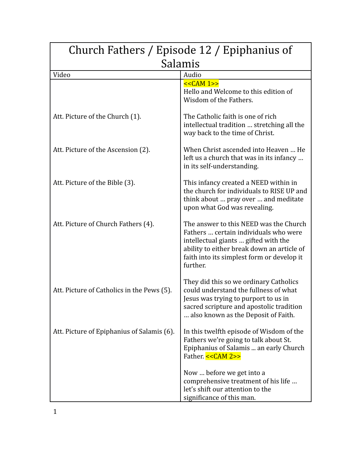| Church Fathers / Episode 12 / Epiphanius of |                                                                                                                                                                                                                                 |
|---------------------------------------------|---------------------------------------------------------------------------------------------------------------------------------------------------------------------------------------------------------------------------------|
| Salamis                                     |                                                                                                                                                                                                                                 |
| Video                                       | Audio                                                                                                                                                                                                                           |
|                                             | $<<CAM 1>>$<br>Hello and Welcome to this edition of<br>Wisdom of the Fathers.                                                                                                                                                   |
| Att. Picture of the Church (1).             | The Catholic faith is one of rich<br>intellectual tradition  stretching all the<br>way back to the time of Christ.                                                                                                              |
| Att. Picture of the Ascension (2).          | When Christ ascended into Heaven  He<br>left us a church that was in its infancy<br>in its self-understanding.                                                                                                                  |
| Att. Picture of the Bible (3).              | This infancy created a NEED within in<br>the church for individuals to RISE UP and<br>think about  pray over  and meditate<br>upon what God was revealing.                                                                      |
| Att. Picture of Church Fathers (4).         | The answer to this NEED was the Church<br>Fathers  certain individuals who were<br>intellectual giants  gifted with the<br>ability to either break down an article of<br>faith into its simplest form or develop it<br>further. |
| Att. Picture of Catholics in the Pews (5).  | They did this so we ordinary Catholics<br>could understand the fullness of what<br>Jesus was trying to purport to us in<br>sacred scripture and apostolic tradition<br>also known as the Deposit of Faith.                      |
| Att. Picture of Epiphanius of Salamis (6).  | In this twelfth episode of Wisdom of the<br>Fathers we're going to talk about St.<br>Epiphanius of Salamis  an early Church<br>Father. << CAM 2>>                                                                               |
|                                             | Now  before we get into a<br>comprehensive treatment of his life<br>let's shift our attention to the<br>significance of this man.                                                                                               |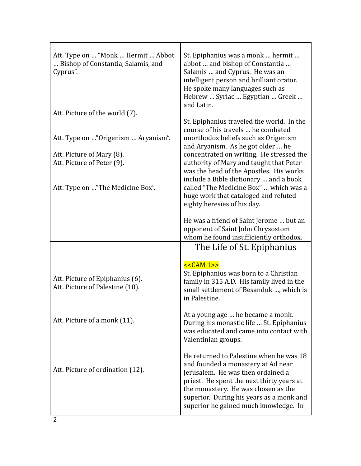| Att. Type on  "Monk  Hermit  Abbot<br>Bishop of Constantia, Salamis, and<br>Cyprus".           | St. Epiphanius was a monk  hermit<br>abbot  and bishop of Constantia<br>Salamis  and Cyprus. He was an<br>intelligent person and brilliant orator.<br>He spoke many languages such as<br>Hebrew  Syriac  Egyptian  Greek<br>and Latin.                                                                                                   |
|------------------------------------------------------------------------------------------------|------------------------------------------------------------------------------------------------------------------------------------------------------------------------------------------------------------------------------------------------------------------------------------------------------------------------------------------|
| Att. Picture of the world (7).                                                                 |                                                                                                                                                                                                                                                                                                                                          |
| Att. Type on "Origenism  Aryanism".<br>Att. Picture of Mary (8).<br>Att. Picture of Peter (9). | St. Epiphanius traveled the world. In the<br>course of his travels  he combated<br>unorthodox beliefs such as Origenism<br>and Aryanism. As he got older  he<br>concentrated on writing. He stressed the<br>authority of Mary and taught that Peter<br>was the head of the Apostles. His works<br>include a Bible dictionary  and a book |
| Att. Type on "The Medicine Box".                                                               | called "The Medicine Box"  which was a<br>huge work that cataloged and refuted<br>eighty heresies of his day.                                                                                                                                                                                                                            |
|                                                                                                | He was a friend of Saint Jerome  but an<br>opponent of Saint John Chrysostom<br>whom he found insufficiently orthodox.                                                                                                                                                                                                                   |
|                                                                                                | The Life of St. Epiphanius                                                                                                                                                                                                                                                                                                               |
| Att. Picture of Epiphanius (6).<br>Att. Picture of Palestine (10).                             | $<<CAM 1>>$<br>St. Epiphanius was born to a Christian<br>family in 315 A.D. His family lived in the<br>small settlement of Besanduk , which is<br>in Palestine.                                                                                                                                                                          |
| Att. Picture of a monk (11).                                                                   | At a young age  he became a monk.<br>During his monastic life  St. Epiphanius<br>was educated and came into contact with<br>Valentinian groups.                                                                                                                                                                                          |
| Att. Picture of ordination (12).                                                               | He returned to Palestine when he was 18<br>and founded a monastery at Ad near<br>Jerusalem. He was then ordained a<br>priest. He spent the next thirty years at<br>the monastery. He was chosen as the<br>superior. During his years as a monk and<br>superior he gained much knowledge. In                                              |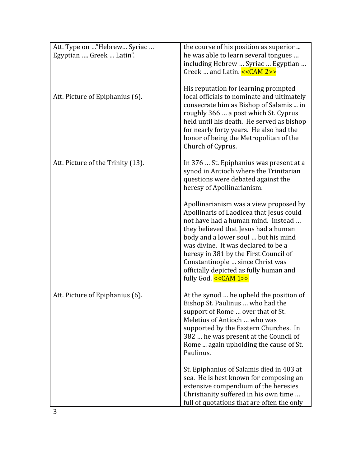| Att. Type on "Hebrew Syriac<br>Egyptian  Greek  Latin". | the course of his position as superior<br>he was able to learn several tongues<br>including Hebrew  Syriac  Egyptian<br>Greek  and Latin. << CAM 2>>                                                                                                                                                                                                                                           |
|---------------------------------------------------------|------------------------------------------------------------------------------------------------------------------------------------------------------------------------------------------------------------------------------------------------------------------------------------------------------------------------------------------------------------------------------------------------|
| Att. Picture of Epiphanius (6).                         | His reputation for learning prompted<br>local officials to nominate and ultimately<br>consecrate him as Bishop of Salamis  in<br>roughly 366  a post which St. Cyprus<br>held until his death. He served as bishop<br>for nearly forty years. He also had the<br>honor of being the Metropolitan of the<br>Church of Cyprus.                                                                   |
| Att. Picture of the Trinity (13).                       | In 376  St. Epiphanius was present at a<br>synod in Antioch where the Trinitarian<br>questions were debated against the<br>heresy of Apollinarianism.                                                                                                                                                                                                                                          |
|                                                         | Apollinarianism was a view proposed by<br>Apollinaris of Laodicea that Jesus could<br>not have had a human mind. Instead<br>they believed that Jesus had a human<br>body and a lower soul  but his mind<br>was divine. It was declared to be a<br>heresy in 381 by the First Council of<br>Constantinople  since Christ was<br>officially depicted as fully human and<br>fully God. << CAM 1>> |
| Att. Picture of Epiphanius (6).                         | At the synod  he upheld the position of<br>Bishop St. Paulinus  who had the<br>support of Rome  over that of St.<br>Meletius of Antioch  who was<br>supported by the Eastern Churches. In<br>382  he was present at the Council of<br>Rome  again upholding the cause of St.<br>Paulinus.                                                                                                      |
|                                                         | St. Epiphanius of Salamis died in 403 at<br>sea. He is best known for composing an<br>extensive compendium of the heresies<br>Christianity suffered in his own time<br>full of quotations that are often the only                                                                                                                                                                              |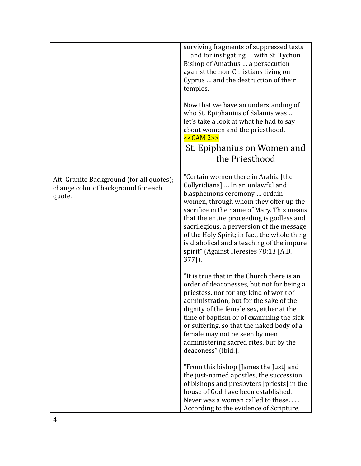|                                                                                            | surviving fragments of suppressed texts<br>and for instigating  with St. Tychon<br>Bishop of Amathus  a persecution<br>against the non-Christians living on<br>Cyprus  and the destruction of their<br>temples.<br>Now that we have an understanding of<br>who St. Epiphanius of Salamis was<br>let's take a look at what he had to say<br>about women and the priesthood.<br>$<<CAM 2>>$                                                    |
|--------------------------------------------------------------------------------------------|----------------------------------------------------------------------------------------------------------------------------------------------------------------------------------------------------------------------------------------------------------------------------------------------------------------------------------------------------------------------------------------------------------------------------------------------|
|                                                                                            | St. Epiphanius on Women and<br>the Priesthood                                                                                                                                                                                                                                                                                                                                                                                                |
| Att. Granite Background (for all quotes);<br>change color of background for each<br>quote. | "Certain women there in Arabia [the<br>Collyridians]  In an unlawful and<br>b.asphemous ceremony  ordain<br>women, through whom they offer up the<br>sacrifice in the name of Mary. This means<br>that the entire proceeding is godless and<br>sacrilegious, a perversion of the message<br>of the Holy Spirit; in fact, the whole thing<br>is diabolical and a teaching of the impure<br>spirit" (Against Heresies 78:13 [A.D.<br>$377$ ]). |
|                                                                                            | "It is true that in the Church there is an<br>order of deaconesses, but not for being a<br>priestess, nor for any kind of work of<br>administration, but for the sake of the<br>dignity of the female sex, either at the<br>time of baptism or of examining the sick<br>or suffering, so that the naked body of a<br>female may not be seen by men<br>administering sacred rites, but by the<br>deaconess" (ibid.).                          |
|                                                                                            | "From this bishop [James the Just] and<br>the just-named apostles, the succession<br>of bishops and presbyters [priests] in the<br>house of God have been established.<br>Never was a woman called to these<br>According to the evidence of Scripture,                                                                                                                                                                                       |